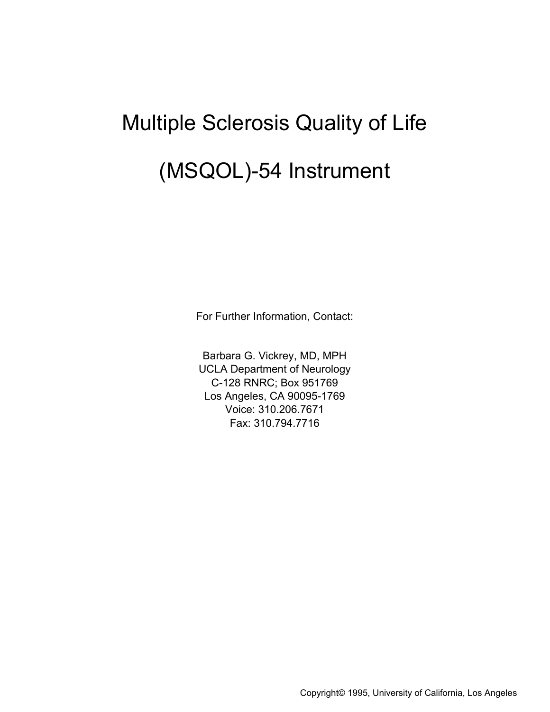# Multiple Sclerosis Quality of Life (MSQOL)-54 Instrument

For Further Information, Contact:

Barbara G. Vickrey, MD, MPH UCLA Department of Neurology C-128 RNRC; Box 951769 Los Angeles, CA 90095-1769 Voice: 310.206.7671 Fax: 310.794.7716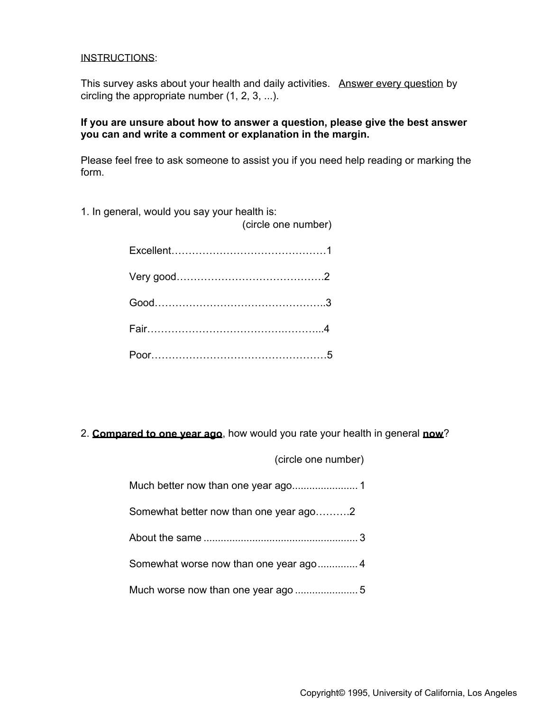#### INSTRUCTIONS:

This survey asks about your health and daily activities. Answer every question by circling the appropriate number (1, 2, 3, ...).

### **If you are unsure about how to answer a question, please give the best answer you can and write a comment or explanation in the margin.**

Please feel free to ask someone to assist you if you need help reading or marking the form.

(circle one number)

1. In general, would you say your health is:

2. **Compared to one year ago**, how would you rate your health in general **now**?

|                                        | (circle one number) |
|----------------------------------------|---------------------|
|                                        |                     |
| Somewhat better now than one year ago2 |                     |
|                                        |                     |
|                                        |                     |
|                                        |                     |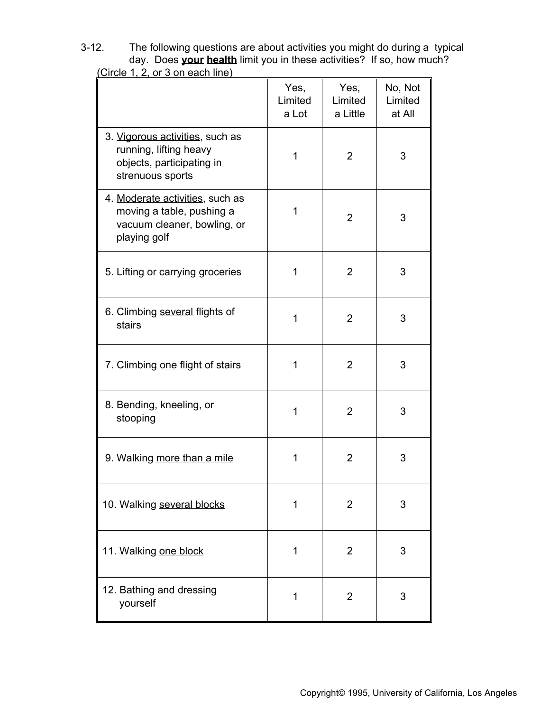3-12. The following questions are about activities you might do during a typical day. Does **your health** limit you in these activities? If so, how much?

|                                                                                                             | Yes,<br>Limited<br>a Lot | Yes,<br>Limited<br>a Little | No, Not<br>Limited<br>at All |
|-------------------------------------------------------------------------------------------------------------|--------------------------|-----------------------------|------------------------------|
| 3. Vigorous activities, such as<br>running, lifting heavy<br>objects, participating in<br>strenuous sports  | 1                        | $\overline{2}$              | 3                            |
| 4. Moderate activities, such as<br>moving a table, pushing a<br>vacuum cleaner, bowling, or<br>playing golf | 1                        | 2                           | 3                            |
| 5. Lifting or carrying groceries                                                                            | 1                        | $\overline{2}$              | 3                            |
| 6. Climbing several flights of<br>stairs                                                                    | 1                        | $\overline{2}$              | 3                            |
| 7. Climbing one flight of stairs                                                                            | 1                        | $\overline{2}$              | 3                            |
| 8. Bending, kneeling, or<br>stooping                                                                        | 1                        | $\overline{2}$              | 3                            |
| 9. Walking more than a mile                                                                                 | 1                        | $\overline{2}$              | 3                            |
| 10. Walking several blocks                                                                                  | 1                        | 2                           | 3                            |
| 11. Walking one block                                                                                       | 1                        | $\overline{2}$              | 3                            |
| 12. Bathing and dressing<br>yourself                                                                        | 1                        | 2                           | 3                            |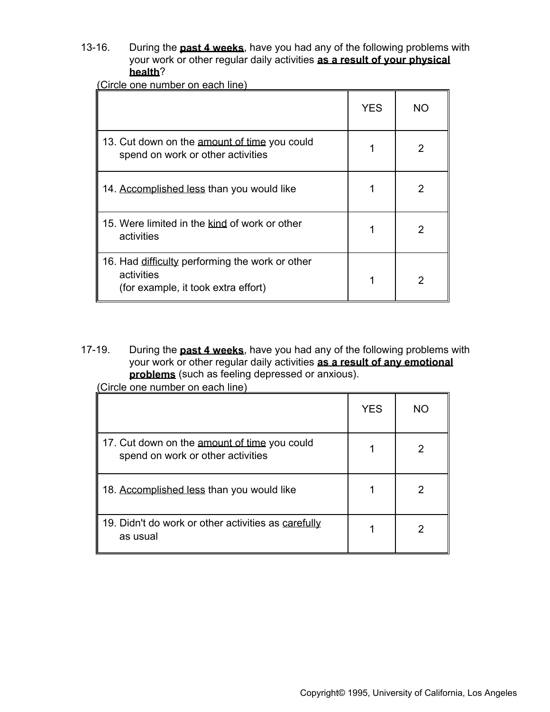13-16. During the **past 4 weeks**, have you had any of the following problems with your work or other regular daily activities **as a result of your physical health**?

(Circle one number on each line)

|                                                                                                      | <b>YES</b> | NO. |
|------------------------------------------------------------------------------------------------------|------------|-----|
| 13. Cut down on the amount of time you could<br>spend on work or other activities                    |            | 2   |
| 14. Accomplished less than you would like                                                            |            | 2   |
| 15. Were limited in the kind of work or other<br>activities                                          |            | 2   |
| 16. Had difficulty performing the work or other<br>activities<br>(for example, it took extra effort) |            | 2   |

17-19. During the **past 4 weeks**, have you had any of the following problems with your work or other regular daily activities **as a result of any emotional problems** (such as feeling depressed or anxious).

|                                                                                   | <b>YES</b> | NΟ |
|-----------------------------------------------------------------------------------|------------|----|
| 17. Cut down on the amount of time you could<br>spend on work or other activities |            |    |
| 18. Accomplished less than you would like                                         |            |    |
| 19. Didn't do work or other activities as carefully<br>as usual                   |            |    |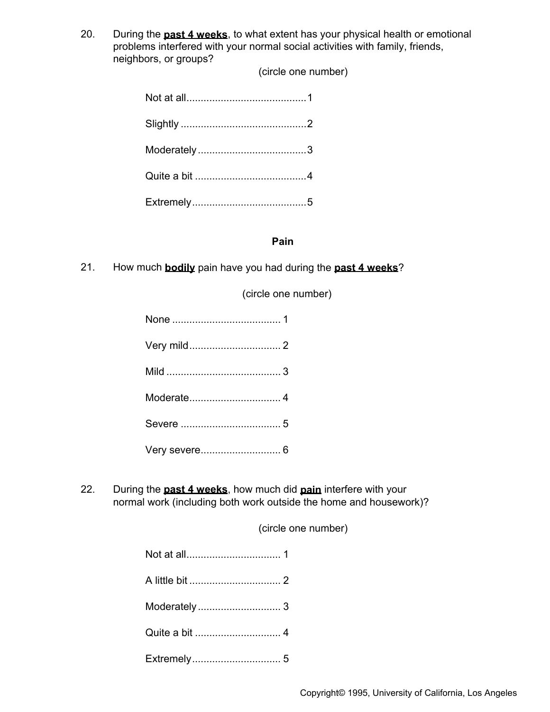20. During the **past 4 weeks**, to what extent has your physical health or emotional problems interfered with your normal social activities with family, friends, neighbors, or groups?

(circle one number)

#### **Pain**

21. How much **bodily** pain have you had during the **past 4 weeks**?

(circle one number)

22. During the **past 4 weeks**, how much did **pain** interfere with your normal work (including both work outside the home and housework)?

(circle one number)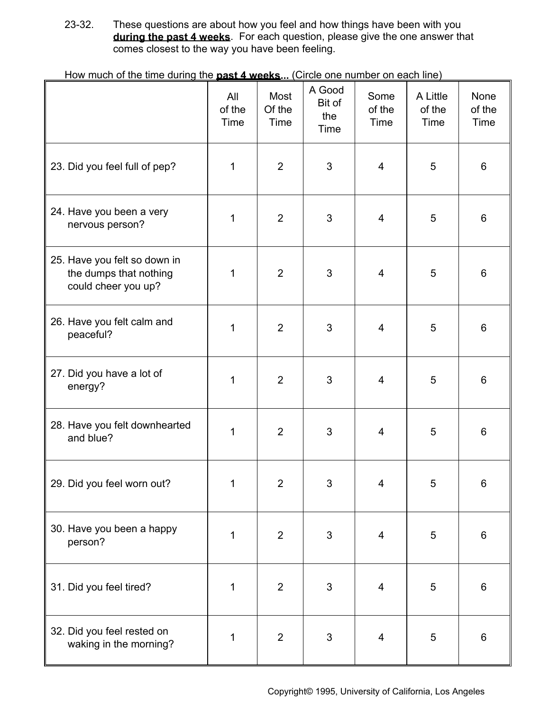23-32. These questions are about how you feel and how things have been with you **during the past 4 weeks**. For each question, please give the one answer that comes closest to the way you have been feeling.

|                                                                               | All<br>of the<br>Time | Most<br>Of the<br>Time | A Good<br>Bit of<br>the<br>Time | Some<br>of the<br>Time | A Little<br>of the<br>Time | None<br>of the<br>Time |
|-------------------------------------------------------------------------------|-----------------------|------------------------|---------------------------------|------------------------|----------------------------|------------------------|
| 23. Did you feel full of pep?                                                 | 1                     | $\overline{2}$         | 3                               | $\overline{4}$         | $\overline{5}$             | $6\phantom{1}$         |
| 24. Have you been a very<br>nervous person?                                   | 1                     | $\overline{2}$         | 3                               | 4                      | 5                          | 6                      |
| 25. Have you felt so down in<br>the dumps that nothing<br>could cheer you up? | 1                     | $\overline{2}$         | 3                               | $\overline{4}$         | 5                          | 6                      |
| 26. Have you felt calm and<br>peaceful?                                       | 1                     | $\overline{2}$         | 3                               | $\overline{4}$         | 5                          | $6\phantom{1}6$        |
| 27. Did you have a lot of<br>energy?                                          | 1                     | $\overline{2}$         | 3                               | 4                      | 5                          | 6                      |
| 28. Have you felt downhearted<br>and blue?                                    | 1                     | $\overline{2}$         | 3                               | $\overline{4}$         | 5                          | 6                      |
| 29. Did you feel worn out?                                                    | 1                     | $\overline{c}$         | 3                               | 4                      | 5                          | 6                      |
| 30. Have you been a happy<br>person?                                          | 1                     | $\overline{2}$         | 3                               | 4                      | 5                          | $6\phantom{1}6$        |
| 31. Did you feel tired?                                                       | 1                     | $\overline{2}$         | $\mathfrak{S}$                  | 4                      | 5                          | $6\phantom{1}$         |
| 32. Did you feel rested on<br>waking in the morning?                          | 1                     | $\overline{2}$         | 3                               | $\overline{4}$         | 5                          | $6\phantom{1}6$        |

How much of the time during the **past 4 weeks...** (Circle one number on each line)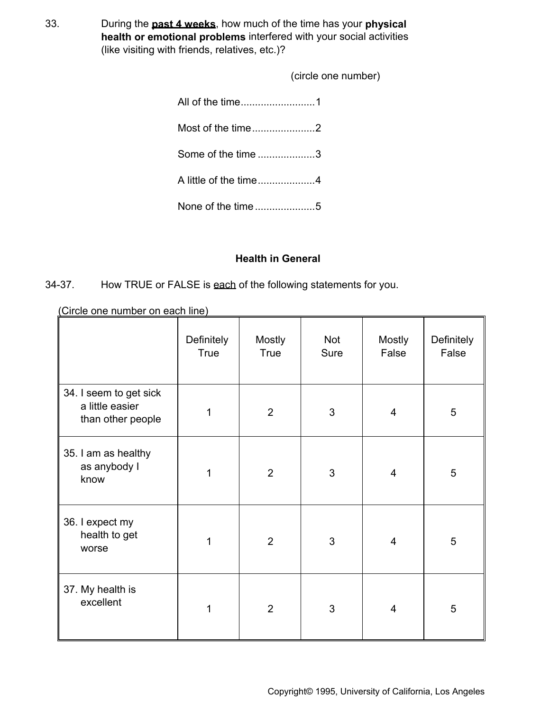33. During the **past 4 weeks**, how much of the time has your **physical health or emotional problems** interfered with your social activities (like visiting with friends, relatives, etc.)?

(circle one number)

| Some of the time 3    |  |
|-----------------------|--|
| A little of the time4 |  |
|                       |  |

# **Health in General**

34-37. How TRUE or FALSE is each of the following statements for you.

|                                                                | <b>Definitely</b><br><b>True</b> | <b>Mostly</b><br>True | Not<br>Sure | Mostly<br>False | Definitely<br>False |
|----------------------------------------------------------------|----------------------------------|-----------------------|-------------|-----------------|---------------------|
| 34. I seem to get sick<br>a little easier<br>than other people | 1                                | $\overline{2}$        | 3           | $\overline{4}$  | $\overline{5}$      |
| 35. I am as healthy<br>as anybody I<br>know                    | 1                                | $\overline{2}$        | 3           | $\overline{4}$  | 5                   |
| 36. I expect my<br>health to get<br>worse                      | 1                                | $\overline{2}$        | 3           | $\overline{4}$  | 5                   |
| 37. My health is<br>excellent                                  | 1                                | $\overline{2}$        | 3           | $\overline{4}$  | 5                   |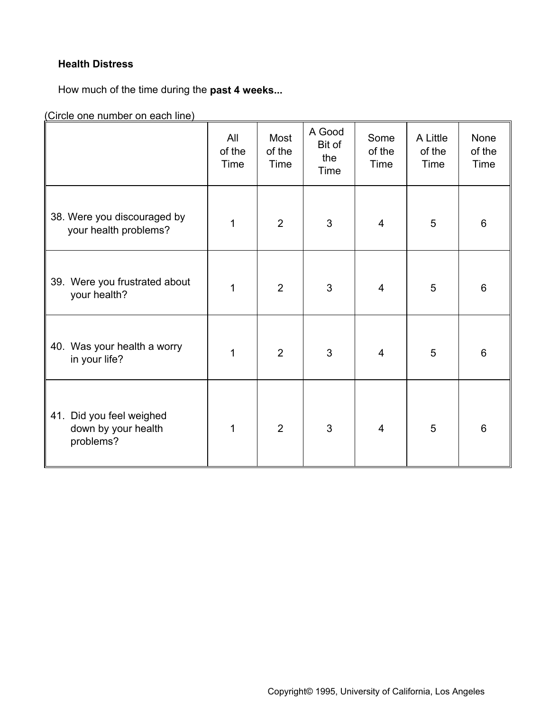# **Health Distress**

How much of the time during the **past 4 weeks...**

|                                                                 | All<br>of the<br>Time | Most<br>of the<br>Time | A Good<br>Bit of<br>the<br>Time | Some<br>of the<br>Time | A Little<br>of the<br>Time | None<br>of the<br>Time |
|-----------------------------------------------------------------|-----------------------|------------------------|---------------------------------|------------------------|----------------------------|------------------------|
| 38. Were you discouraged by<br>your health problems?            | 1                     | $\overline{2}$         | 3                               | $\overline{4}$         | $\overline{5}$             | 6                      |
| 39. Were you frustrated about<br>your health?                   | $\mathbf{1}$          | $\overline{2}$         | 3                               | $\overline{4}$         | 5                          | 6                      |
| 40. Was your health a worry<br>in your life?                    | 1                     | $\overline{2}$         | 3                               | 4                      | 5                          | 6                      |
| Did you feel weighed<br>41.<br>down by your health<br>problems? | 1                     | $\overline{2}$         | 3                               | $\overline{4}$         | 5                          | $6\phantom{1}$         |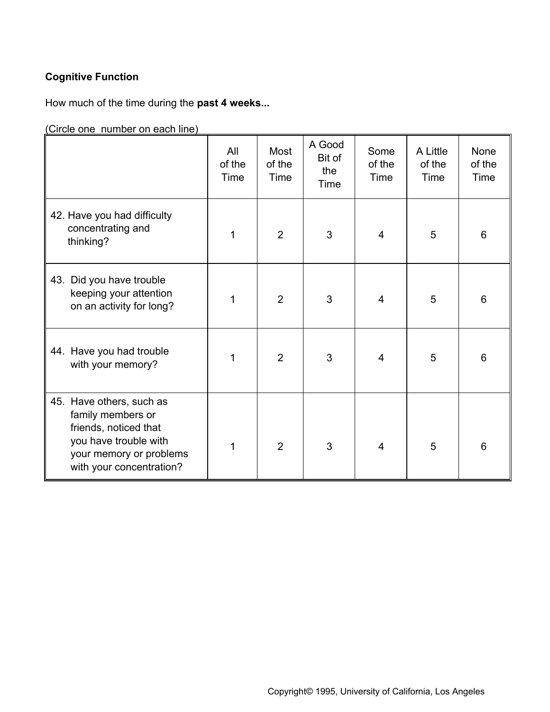# **Cognitive Function**

How much of the time during the **past 4 weeks...**

|                                                                                                                                                        | All<br>of the<br>Time | Most<br>of the<br>Time | A Good<br>Bit of<br>the<br>Time | Some<br>of the<br>Time | A Little<br>of the<br>Time | None<br>of the<br>Time |
|--------------------------------------------------------------------------------------------------------------------------------------------------------|-----------------------|------------------------|---------------------------------|------------------------|----------------------------|------------------------|
| 42. Have you had difficulty<br>concentrating and<br>thinking?                                                                                          | 1                     | $\overline{2}$         | 3                               | $\overline{4}$         | 5                          | 6                      |
| 43. Did you have trouble<br>keeping your attention<br>on an activity for long?                                                                         | 1                     | $\overline{2}$         | 3                               | $\overline{4}$         | 5                          | 6                      |
| 44. Have you had trouble<br>with your memory?                                                                                                          | 1                     | $\overline{2}$         | 3                               | 4                      | 5                          | 6                      |
| 45. Have others, such as<br>family members or<br>friends, noticed that<br>you have trouble with<br>your memory or problems<br>with your concentration? | 1                     | $\overline{2}$         | 3                               | $\overline{4}$         | 5                          | 6                      |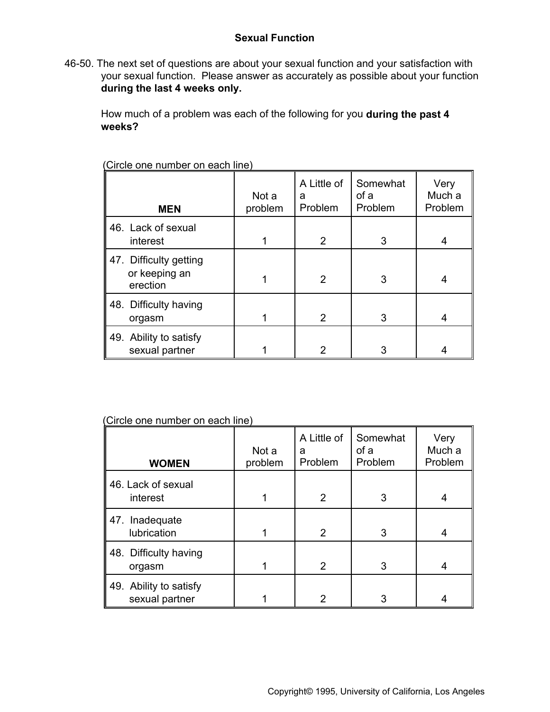# **Sexual Function**

46-50. The next set of questions are about your sexual function and your satisfaction with your sexual function. Please answer as accurately as possible about your function **during the last 4 weeks only.** 

How much of a problem was each of the following for you **during the past 4 weeks?** 

| <b>MEN</b>                                          | Not a<br>problem | A Little of<br>a<br>Problem | Somewhat<br>of a<br>Problem | Very<br>Much a<br>Problem |
|-----------------------------------------------------|------------------|-----------------------------|-----------------------------|---------------------------|
| 46. Lack of sexual<br>interest                      | 1                | $\overline{2}$              | 3                           | 4                         |
| 47. Difficulty getting<br>or keeping an<br>erection |                  | $\overline{2}$              | 3                           | 4                         |
| 48. Difficulty having<br>orgasm                     | 1                | $\overline{2}$              | 3                           | 4                         |
| 49. Ability to satisfy<br>sexual partner            |                  | 2                           | 3                           |                           |

(Circle one number on each line)

| <b>WOMEN</b>                             | Not a<br>problem | A Little of<br>a<br>Problem | Somewhat<br>of a<br>Problem | Very<br>Much a<br>Problem |
|------------------------------------------|------------------|-----------------------------|-----------------------------|---------------------------|
| 46. Lack of sexual<br>interest           | 1                | 2                           | 3                           | 4                         |
| 47. Inadequate<br>lubrication            | 1                | $\overline{2}$              | 3                           | 4                         |
| 48. Difficulty having<br>orgasm          | 1                | 2                           | 3                           | 4                         |
| 49. Ability to satisfy<br>sexual partner |                  | 2                           | 3                           |                           |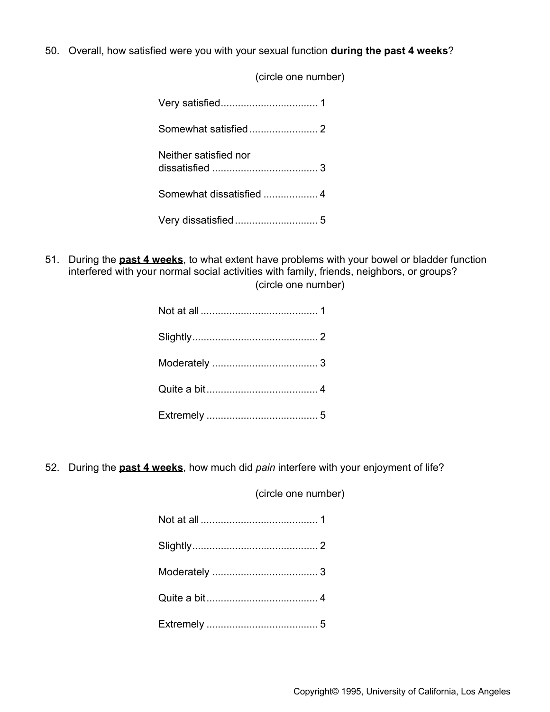50. Overall, how satisfied were you with your sexual function **during the past 4 weeks**?

 (circle one number) Very satisfied.................................. 1 Somewhat satisfied........................ 2 Neither satisfied nor dissatisfied ..................................... 3 Somewhat dissatisfied .................... 4 Very dissatisfied............................. 5

51. During the **past 4 weeks**, to what extent have problems with your bowel or bladder function interfered with your normal social activities with family, friends, neighbors, or groups? (circle one number)

52. During the **past 4 weeks**, how much did *pain* interfere with your enjoyment of life?

(circle one number)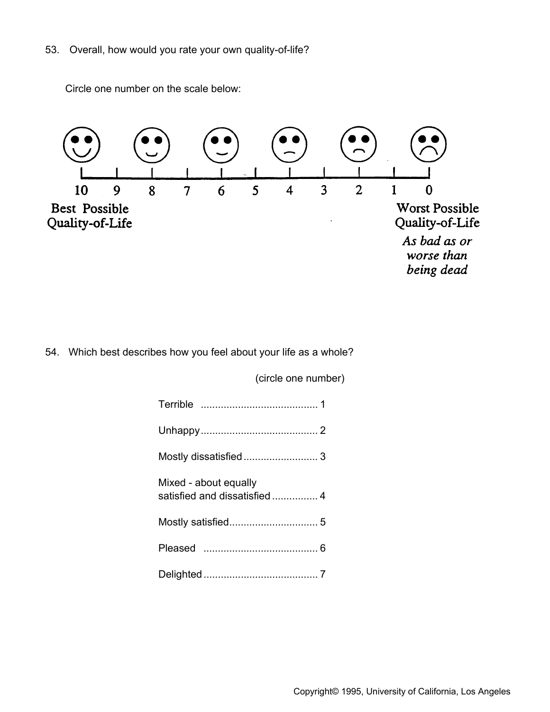53. Overall, how would you rate your own quality-of-life?

Circle one number on the scale below:



54. Which best describes how you feel about your life as a whole?

| Mixed - about equally |  |
|-----------------------|--|
|                       |  |
|                       |  |
|                       |  |

(circle one number)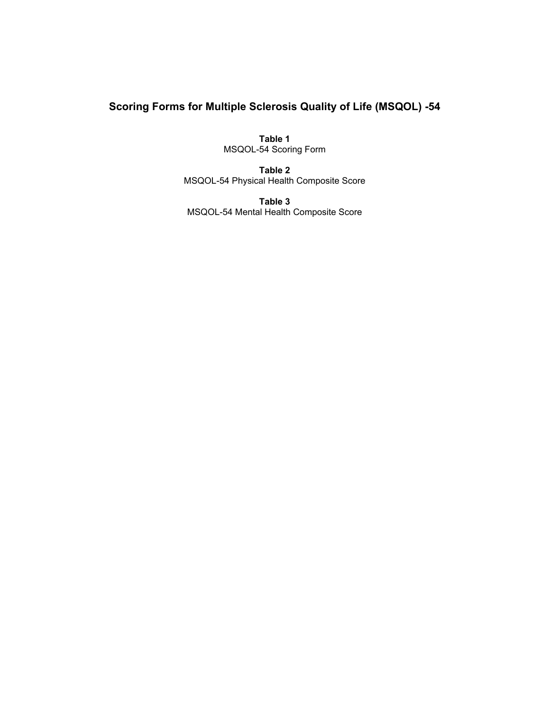# **Scoring Forms for Multiple Sclerosis Quality of Life (MSQOL) -54**

**Table 1** MSQOL-54 Scoring Form

**Table 2** MSQOL-54 Physical Health Composite Score

**Table 3** MSQOL-54 Mental Health Composite Score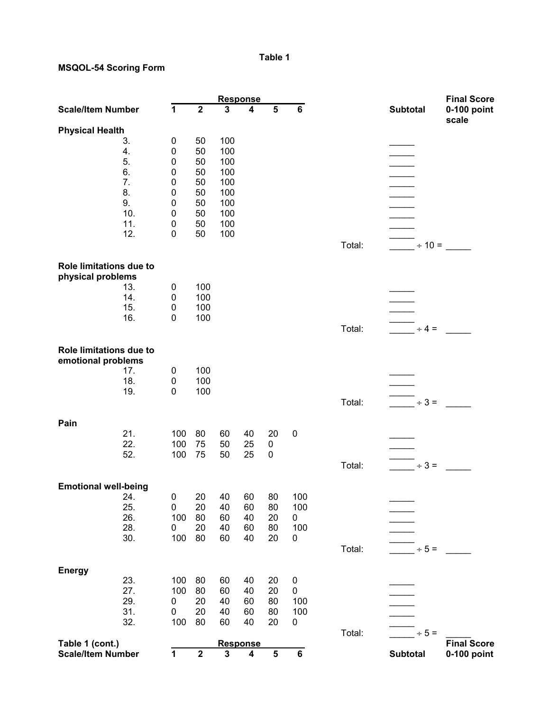## **Table 1**

### **MSQOL-54 Scoring Form**

|                                               |     |             |                         | <b>Response</b>      |                         |                         |                         |        |                                     | <b>Final Score</b>   |
|-----------------------------------------------|-----|-------------|-------------------------|----------------------|-------------------------|-------------------------|-------------------------|--------|-------------------------------------|----------------------|
| <b>Scale/Item Number</b>                      |     | $\mathbf 1$ | $\overline{\mathbf{2}}$ | $\mathbf{3}$         | 4                       | $\overline{\mathbf{5}}$ | $6\phantom{a}$          |        | <b>Subtotal</b>                     | 0-100 point<br>scale |
| <b>Physical Health</b>                        |     |             |                         |                      |                         |                         |                         |        |                                     |                      |
|                                               | 3.  | 0           | 50                      | 100                  |                         |                         |                         |        |                                     |                      |
|                                               | 4.  | $\mathbf 0$ | 50                      | 100                  |                         |                         |                         |        |                                     |                      |
|                                               | 5.  | $\mathbf 0$ | 50                      | 100                  |                         |                         |                         |        |                                     |                      |
|                                               | 6.  | $\mathbf 0$ | 50                      | 100                  |                         |                         |                         |        |                                     |                      |
|                                               | 7.  | $\pmb{0}$   | 50                      | 100                  |                         |                         |                         |        |                                     |                      |
|                                               | 8.  | $\mathbf 0$ | 50                      | 100                  |                         |                         |                         |        |                                     |                      |
|                                               | 9.  | $\mathbf 0$ | 50                      | 100                  |                         |                         |                         |        |                                     |                      |
|                                               | 10. |             |                         |                      |                         |                         |                         |        |                                     |                      |
|                                               |     | $\pmb{0}$   | 50                      | 100                  |                         |                         |                         |        |                                     |                      |
|                                               | 11. | $\pmb{0}$   | 50                      | 100                  |                         |                         |                         |        |                                     |                      |
|                                               | 12. | $\mathbf 0$ | 50                      | 100                  |                         |                         |                         |        |                                     |                      |
|                                               |     |             |                         |                      |                         |                         |                         | Total: | $\div$ 10 =                         |                      |
| Role limitations due to<br>physical problems  |     |             |                         |                      |                         |                         |                         |        |                                     |                      |
|                                               | 13. | $\mathbf 0$ | 100                     |                      |                         |                         |                         |        |                                     |                      |
|                                               | 14. | $\mathbf 0$ | 100                     |                      |                         |                         |                         |        |                                     |                      |
|                                               | 15. | $\mathbf 0$ | 100                     |                      |                         |                         |                         |        |                                     |                      |
|                                               |     |             |                         |                      |                         |                         |                         |        |                                     |                      |
|                                               | 16. | $\mathbf 0$ | 100                     |                      |                         |                         |                         |        |                                     |                      |
|                                               |     |             |                         |                      |                         |                         |                         | Total: | $\div 4 =$                          |                      |
| Role limitations due to<br>emotional problems |     |             |                         |                      |                         |                         |                         |        |                                     |                      |
|                                               | 17. | $\mathbf 0$ | 100                     |                      |                         |                         |                         |        |                                     |                      |
|                                               | 18. | $\pmb{0}$   | 100                     |                      |                         |                         |                         |        |                                     |                      |
|                                               | 19. | $\mathbf 0$ | 100                     |                      |                         |                         |                         |        |                                     |                      |
|                                               |     |             |                         |                      |                         |                         |                         |        | $\overline{\phantom{0}}$ $\div$ 3 = |                      |
|                                               |     |             |                         |                      |                         |                         |                         | Total: |                                     |                      |
|                                               |     |             |                         |                      |                         |                         |                         |        |                                     |                      |
| Pain                                          |     |             |                         |                      |                         |                         |                         |        |                                     |                      |
|                                               | 21. | 100         | 80                      | 60                   | 40                      | 20                      | $\mathbf 0$             |        |                                     |                      |
|                                               | 22. | 100         | 75                      | 50                   | 25                      | 0                       |                         |        |                                     |                      |
|                                               | 52. | 100         | 75                      | 50                   | 25                      | $\pmb{0}$               |                         |        |                                     |                      |
|                                               |     |             |                         |                      |                         |                         |                         | Total: | $\div$ 3 =                          |                      |
|                                               |     |             |                         |                      |                         |                         |                         |        |                                     |                      |
| <b>Emotional well-being</b>                   |     |             |                         |                      |                         |                         |                         |        |                                     |                      |
|                                               | 24. | $\pmb{0}$   | 20                      | 40                   | 60                      | 80                      | 100                     |        |                                     |                      |
|                                               | 25. | $\pmb{0}$   | 20                      | 40                   | 60                      | 80                      | 100                     |        |                                     |                      |
|                                               | 26. | 100         | 80                      | 60                   | 40                      | 20                      | 0                       |        |                                     |                      |
|                                               | 28. | $\mathbf 0$ | 20                      | 40                   | 60                      | 80                      | 100                     |        |                                     |                      |
|                                               | 30. | 100         | 80                      | 60                   | 40                      | 20                      | $\pmb{0}$               |        |                                     |                      |
|                                               |     |             |                         |                      |                         |                         |                         | Total: | $\div$ 5 =                          |                      |
|                                               |     |             |                         |                      |                         |                         |                         |        |                                     |                      |
| <b>Energy</b>                                 |     |             |                         |                      |                         |                         |                         |        |                                     |                      |
|                                               | 23. | 100         | 80                      | 60                   | 40                      | 20                      | $\pmb{0}$               |        |                                     |                      |
|                                               | 27. | 100         | 80                      | 60                   | 40                      | 20                      | $\pmb{0}$               |        |                                     |                      |
|                                               | 29. | 0           | 20                      | 40                   | 60                      | 80                      | 100                     |        |                                     |                      |
|                                               | 31. | $\pmb{0}$   | 20                      | 40                   | 60                      | 80                      | 100                     |        |                                     |                      |
|                                               |     | 100         | 80                      |                      |                         |                         |                         |        |                                     |                      |
|                                               | 32. |             |                         | 60                   | 40                      | 20                      | 0                       |        |                                     |                      |
|                                               |     |             |                         |                      |                         |                         |                         | Total: | $\div$ 5 =                          |                      |
| Table 1 (cont.)                               |     |             | $\mathbf 2$             | <b>Response</b><br>3 | $\overline{\mathbf{4}}$ | $\overline{\mathbf{5}}$ | $\overline{\mathbf{6}}$ |        |                                     | <b>Final Score</b>   |
| <b>Scale/Item Number</b>                      |     | 1           |                         |                      |                         |                         |                         |        | <b>Subtotal</b>                     | 0-100 point          |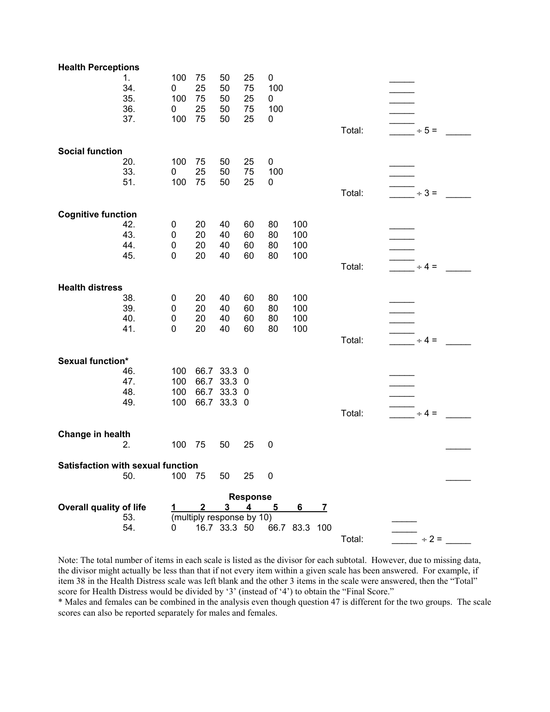| 25<br>34.<br>25<br>50<br>75<br>100<br>0<br>35.<br>100<br>75<br>50<br>25<br>0<br>36.<br>100<br>25<br>50<br>75<br>0<br>37.<br>100<br>75<br>50<br>25<br>0<br>Total:<br>$\div$ 5 =<br><b>Social function</b><br>20.<br>100<br>75<br>50<br>25<br>$\pmb{0}$<br>33.<br>25<br>100<br>50<br>75<br>0<br>51.<br>100<br>75<br>50<br>25<br>0<br>Total:<br>$\div$ 3 =<br><b>Cognitive function</b><br>42.<br>20<br>40<br>80<br>100<br>60<br>0<br>43.<br>20<br>$\pmb{0}$<br>40<br>60<br>80<br>100<br>44.<br>20<br>40<br>80<br>100<br>$\mathbf 0$<br>60<br>20<br>100<br>45.<br>40<br>60<br>80<br>0<br>Total:<br>$\div$ 4 =<br><b>Health distress</b><br>38.<br>100<br>20<br>40<br>60<br>80<br>0<br>39.<br>20<br>60<br>$\mathbf 0$<br>40<br>80<br>100<br>40.<br>$\mathbf 0$<br>20<br>40<br>60<br>80<br>100<br>41.<br>20<br>80<br>0<br>40<br>60<br>100<br>Total:<br>$\div$ 4 =<br><b>Sexual function*</b><br>46.<br>100<br>66.7 33.3 0<br>66.7<br>33.3 0<br>47.<br>100<br>48.<br>66.7<br>33.3 0<br>100<br>100<br>66.7 33.3 0<br>49.<br>Total:<br>$\div$ 4 =<br>Change in health<br>100<br>75<br>25<br>$\pmb{0}$<br>2.<br>50<br><b>Satisfaction with sexual function</b><br>100<br>75<br>50.<br>50<br>25<br>$\mathbf 0$<br><b>Response</b><br><b>Overall quality of life</b><br>4<br>$\boldsymbol{2}$<br>3<br>5<br>6<br>$\overline{I}$<br>53.<br>(multiply response by 10)<br>54.<br>16.7 33.3 50<br>66.7 83.3 100<br>0 | <b>Health Perceptions</b> |     |    |    |           |  |        |            |  |
|------------------------------------------------------------------------------------------------------------------------------------------------------------------------------------------------------------------------------------------------------------------------------------------------------------------------------------------------------------------------------------------------------------------------------------------------------------------------------------------------------------------------------------------------------------------------------------------------------------------------------------------------------------------------------------------------------------------------------------------------------------------------------------------------------------------------------------------------------------------------------------------------------------------------------------------------------------------------------------------------------------------------------------------------------------------------------------------------------------------------------------------------------------------------------------------------------------------------------------------------------------------------------------------------------------------------------------------------------------------------------------------------------|---------------------------|-----|----|----|-----------|--|--------|------------|--|
|                                                                                                                                                                                                                                                                                                                                                                                                                                                                                                                                                                                                                                                                                                                                                                                                                                                                                                                                                                                                                                                                                                                                                                                                                                                                                                                                                                                                      | 1.                        | 100 | 75 | 50 | $\pmb{0}$ |  |        |            |  |
|                                                                                                                                                                                                                                                                                                                                                                                                                                                                                                                                                                                                                                                                                                                                                                                                                                                                                                                                                                                                                                                                                                                                                                                                                                                                                                                                                                                                      |                           |     |    |    |           |  |        |            |  |
|                                                                                                                                                                                                                                                                                                                                                                                                                                                                                                                                                                                                                                                                                                                                                                                                                                                                                                                                                                                                                                                                                                                                                                                                                                                                                                                                                                                                      |                           |     |    |    |           |  |        |            |  |
|                                                                                                                                                                                                                                                                                                                                                                                                                                                                                                                                                                                                                                                                                                                                                                                                                                                                                                                                                                                                                                                                                                                                                                                                                                                                                                                                                                                                      |                           |     |    |    |           |  |        |            |  |
|                                                                                                                                                                                                                                                                                                                                                                                                                                                                                                                                                                                                                                                                                                                                                                                                                                                                                                                                                                                                                                                                                                                                                                                                                                                                                                                                                                                                      |                           |     |    |    |           |  |        |            |  |
|                                                                                                                                                                                                                                                                                                                                                                                                                                                                                                                                                                                                                                                                                                                                                                                                                                                                                                                                                                                                                                                                                                                                                                                                                                                                                                                                                                                                      |                           |     |    |    |           |  |        |            |  |
|                                                                                                                                                                                                                                                                                                                                                                                                                                                                                                                                                                                                                                                                                                                                                                                                                                                                                                                                                                                                                                                                                                                                                                                                                                                                                                                                                                                                      |                           |     |    |    |           |  |        |            |  |
|                                                                                                                                                                                                                                                                                                                                                                                                                                                                                                                                                                                                                                                                                                                                                                                                                                                                                                                                                                                                                                                                                                                                                                                                                                                                                                                                                                                                      |                           |     |    |    |           |  |        |            |  |
|                                                                                                                                                                                                                                                                                                                                                                                                                                                                                                                                                                                                                                                                                                                                                                                                                                                                                                                                                                                                                                                                                                                                                                                                                                                                                                                                                                                                      |                           |     |    |    |           |  |        |            |  |
|                                                                                                                                                                                                                                                                                                                                                                                                                                                                                                                                                                                                                                                                                                                                                                                                                                                                                                                                                                                                                                                                                                                                                                                                                                                                                                                                                                                                      |                           |     |    |    |           |  |        |            |  |
|                                                                                                                                                                                                                                                                                                                                                                                                                                                                                                                                                                                                                                                                                                                                                                                                                                                                                                                                                                                                                                                                                                                                                                                                                                                                                                                                                                                                      |                           |     |    |    |           |  |        |            |  |
|                                                                                                                                                                                                                                                                                                                                                                                                                                                                                                                                                                                                                                                                                                                                                                                                                                                                                                                                                                                                                                                                                                                                                                                                                                                                                                                                                                                                      |                           |     |    |    |           |  |        |            |  |
|                                                                                                                                                                                                                                                                                                                                                                                                                                                                                                                                                                                                                                                                                                                                                                                                                                                                                                                                                                                                                                                                                                                                                                                                                                                                                                                                                                                                      |                           |     |    |    |           |  |        |            |  |
|                                                                                                                                                                                                                                                                                                                                                                                                                                                                                                                                                                                                                                                                                                                                                                                                                                                                                                                                                                                                                                                                                                                                                                                                                                                                                                                                                                                                      |                           |     |    |    |           |  |        |            |  |
|                                                                                                                                                                                                                                                                                                                                                                                                                                                                                                                                                                                                                                                                                                                                                                                                                                                                                                                                                                                                                                                                                                                                                                                                                                                                                                                                                                                                      |                           |     |    |    |           |  |        |            |  |
|                                                                                                                                                                                                                                                                                                                                                                                                                                                                                                                                                                                                                                                                                                                                                                                                                                                                                                                                                                                                                                                                                                                                                                                                                                                                                                                                                                                                      |                           |     |    |    |           |  |        |            |  |
|                                                                                                                                                                                                                                                                                                                                                                                                                                                                                                                                                                                                                                                                                                                                                                                                                                                                                                                                                                                                                                                                                                                                                                                                                                                                                                                                                                                                      |                           |     |    |    |           |  |        |            |  |
|                                                                                                                                                                                                                                                                                                                                                                                                                                                                                                                                                                                                                                                                                                                                                                                                                                                                                                                                                                                                                                                                                                                                                                                                                                                                                                                                                                                                      |                           |     |    |    |           |  |        |            |  |
|                                                                                                                                                                                                                                                                                                                                                                                                                                                                                                                                                                                                                                                                                                                                                                                                                                                                                                                                                                                                                                                                                                                                                                                                                                                                                                                                                                                                      |                           |     |    |    |           |  |        |            |  |
|                                                                                                                                                                                                                                                                                                                                                                                                                                                                                                                                                                                                                                                                                                                                                                                                                                                                                                                                                                                                                                                                                                                                                                                                                                                                                                                                                                                                      |                           |     |    |    |           |  |        |            |  |
|                                                                                                                                                                                                                                                                                                                                                                                                                                                                                                                                                                                                                                                                                                                                                                                                                                                                                                                                                                                                                                                                                                                                                                                                                                                                                                                                                                                                      |                           |     |    |    |           |  |        |            |  |
|                                                                                                                                                                                                                                                                                                                                                                                                                                                                                                                                                                                                                                                                                                                                                                                                                                                                                                                                                                                                                                                                                                                                                                                                                                                                                                                                                                                                      |                           |     |    |    |           |  |        |            |  |
|                                                                                                                                                                                                                                                                                                                                                                                                                                                                                                                                                                                                                                                                                                                                                                                                                                                                                                                                                                                                                                                                                                                                                                                                                                                                                                                                                                                                      |                           |     |    |    |           |  |        |            |  |
|                                                                                                                                                                                                                                                                                                                                                                                                                                                                                                                                                                                                                                                                                                                                                                                                                                                                                                                                                                                                                                                                                                                                                                                                                                                                                                                                                                                                      |                           |     |    |    |           |  |        |            |  |
|                                                                                                                                                                                                                                                                                                                                                                                                                                                                                                                                                                                                                                                                                                                                                                                                                                                                                                                                                                                                                                                                                                                                                                                                                                                                                                                                                                                                      |                           |     |    |    |           |  |        |            |  |
|                                                                                                                                                                                                                                                                                                                                                                                                                                                                                                                                                                                                                                                                                                                                                                                                                                                                                                                                                                                                                                                                                                                                                                                                                                                                                                                                                                                                      |                           |     |    |    |           |  |        |            |  |
|                                                                                                                                                                                                                                                                                                                                                                                                                                                                                                                                                                                                                                                                                                                                                                                                                                                                                                                                                                                                                                                                                                                                                                                                                                                                                                                                                                                                      |                           |     |    |    |           |  |        |            |  |
|                                                                                                                                                                                                                                                                                                                                                                                                                                                                                                                                                                                                                                                                                                                                                                                                                                                                                                                                                                                                                                                                                                                                                                                                                                                                                                                                                                                                      |                           |     |    |    |           |  |        |            |  |
|                                                                                                                                                                                                                                                                                                                                                                                                                                                                                                                                                                                                                                                                                                                                                                                                                                                                                                                                                                                                                                                                                                                                                                                                                                                                                                                                                                                                      |                           |     |    |    |           |  |        |            |  |
|                                                                                                                                                                                                                                                                                                                                                                                                                                                                                                                                                                                                                                                                                                                                                                                                                                                                                                                                                                                                                                                                                                                                                                                                                                                                                                                                                                                                      |                           |     |    |    |           |  |        |            |  |
|                                                                                                                                                                                                                                                                                                                                                                                                                                                                                                                                                                                                                                                                                                                                                                                                                                                                                                                                                                                                                                                                                                                                                                                                                                                                                                                                                                                                      |                           |     |    |    |           |  |        |            |  |
|                                                                                                                                                                                                                                                                                                                                                                                                                                                                                                                                                                                                                                                                                                                                                                                                                                                                                                                                                                                                                                                                                                                                                                                                                                                                                                                                                                                                      |                           |     |    |    |           |  |        |            |  |
|                                                                                                                                                                                                                                                                                                                                                                                                                                                                                                                                                                                                                                                                                                                                                                                                                                                                                                                                                                                                                                                                                                                                                                                                                                                                                                                                                                                                      |                           |     |    |    |           |  |        |            |  |
|                                                                                                                                                                                                                                                                                                                                                                                                                                                                                                                                                                                                                                                                                                                                                                                                                                                                                                                                                                                                                                                                                                                                                                                                                                                                                                                                                                                                      |                           |     |    |    |           |  |        |            |  |
|                                                                                                                                                                                                                                                                                                                                                                                                                                                                                                                                                                                                                                                                                                                                                                                                                                                                                                                                                                                                                                                                                                                                                                                                                                                                                                                                                                                                      |                           |     |    |    |           |  | Total: | $\div$ 2 = |  |

Note: The total number of items in each scale is listed as the divisor for each subtotal. However, due to missing data, the divisor might actually be less than that if not every item within a given scale has been answered. For example, if item 38 in the Health Distress scale was left blank and the other 3 items in the scale were answered, then the "Total" score for Health Distress would be divided by '3' (instead of '4') to obtain the "Final Score."

\* Males and females can be combined in the analysis even though question 47 is different for the two groups. The scale scores can also be reported separately for males and females.